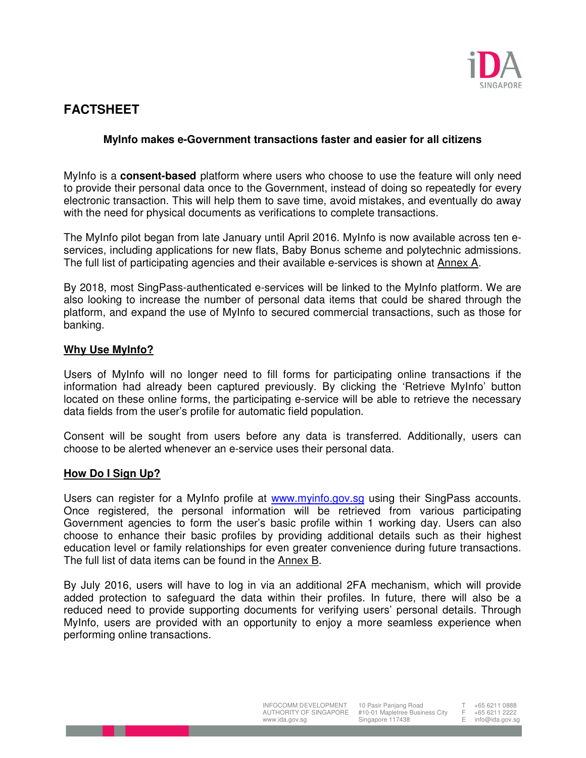

# **FACTSHEET**

## **MyInfo makes e-Government transactions faster and easier for all citizens**

MyInfo is a **consent-based** platform where users who choose to use the feature will only need to provide their personal data once to the Government, instead of doing so repeatedly for every electronic transaction. This will help them to save time, avoid mistakes, and eventually do away with the need for physical documents as verifications to complete transactions.

The MyInfo pilot began from late January until April 2016. MyInfo is now available across ten eservices, including applications for new flats, Baby Bonus scheme and polytechnic admissions. The full list of participating agencies and their available e-services is shown at Annex A.

By 2018, most SingPass-authenticated e-services will be linked to the MyInfo platform. We are also looking to increase the number of personal data items that could be shared through the platform, and expand the use of MyInfo to secured commercial transactions, such as those for banking.

#### **Why Use MyInfo?**

Users of MyInfo will no longer need to fill forms for participating online transactions if the information had already been captured previously. By clicking the 'Retrieve MyInfo' button located on these online forms, the participating e-service will be able to retrieve the necessary data fields from the user's profile for automatic field population.

Consent will be sought from users before any data is transferred. Additionally, users can choose to be alerted whenever an e-service uses their personal data.

#### **How Do I Sign Up?**

Users can register for a MyInfo profile at www.myinfo.gov.sg using their SingPass accounts. Once registered, the personal information will be retrieved from various participating Government agencies to form the user's basic profile within 1 working day. Users can also choose to enhance their basic profiles by providing additional details such as their highest education level or family relationships for even greater convenience during future transactions. The full list of data items can be found in the Annex B.

By July 2016, users will have to log in via an additional 2FA mechanism, which will provide added protection to safeguard the data within their profiles. In future, there will also be a reduced need to provide supporting documents for verifying users' personal details. Through MyInfo, users are provided with an opportunity to enjoy a more seamless experience when performing online transactions.

+65 6211 0888  $F + 65 6211 2222$ <br>F info@ida.gov.s

info@ida.gov.sg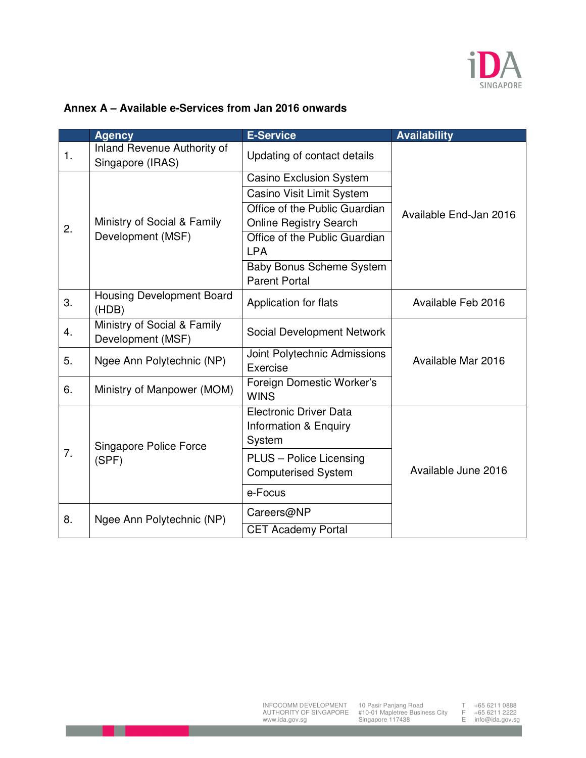

# **Annex A – Available e-Services from Jan 2016 onwards**

|    | <b>Agency</b>                                    | <b>E-Service</b>                                        | <b>Availability</b>    |
|----|--------------------------------------------------|---------------------------------------------------------|------------------------|
| 1. | Inland Revenue Authority of<br>Singapore (IRAS)  | Updating of contact details                             | Available End-Jan 2016 |
| 2. | Ministry of Social & Family<br>Development (MSF) | <b>Casino Exclusion System</b>                          |                        |
|    |                                                  | Casino Visit Limit System                               |                        |
|    |                                                  | Office of the Public Guardian                           |                        |
|    |                                                  | <b>Online Registry Search</b>                           |                        |
|    |                                                  | Office of the Public Guardian<br><b>LPA</b>             |                        |
|    |                                                  | <b>Baby Bonus Scheme System</b><br><b>Parent Portal</b> |                        |
| 3. | <b>Housing Development Board</b><br>(HDB)        | Application for flats                                   | Available Feb 2016     |
| 4. | Ministry of Social & Family<br>Development (MSF) | Social Development Network                              |                        |
| 5. | Ngee Ann Polytechnic (NP)                        | Joint Polytechnic Admissions                            | Available Mar 2016     |
|    |                                                  | Exercise                                                |                        |
| 6. | Ministry of Manpower (MOM)                       | Foreign Domestic Worker's<br><b>WINS</b>                |                        |
|    | Singapore Police Force<br>(SPF)                  | <b>Electronic Driver Data</b>                           | Available June 2016    |
|    |                                                  | Information & Enquiry                                   |                        |
|    |                                                  | System                                                  |                        |
| 7. |                                                  | PLUS - Police Licensing                                 |                        |
|    |                                                  | <b>Computerised System</b>                              |                        |
|    |                                                  | e-Focus                                                 |                        |
| 8. | Ngee Ann Polytechnic (NP)                        | Careers@NP                                              |                        |
|    |                                                  | <b>CET Academy Portal</b>                               |                        |

- 11

T +65 6211 0888 F +65 6211 2222 E info@ida.gov.sg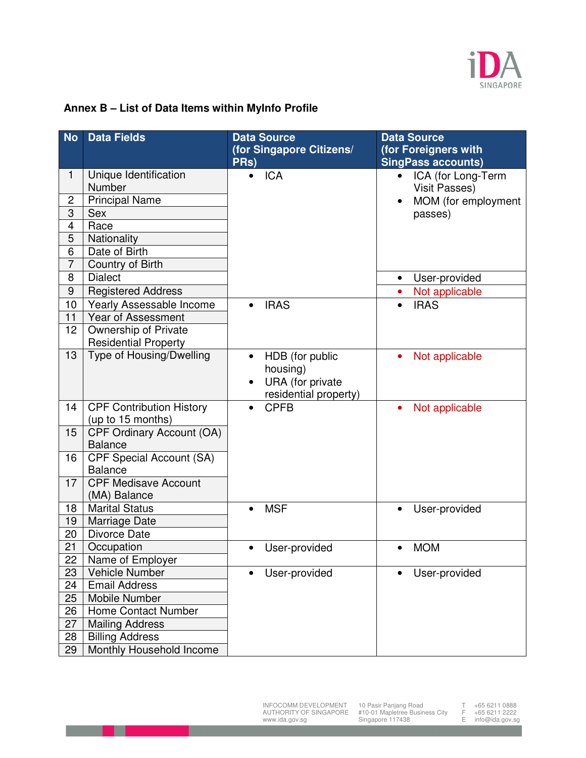

# **Annex B – List of Data Items within MyInfo Profile**

| <b>No</b>      | <b>Data Fields</b>               | <b>Data Source</b>                   | <b>Data Source</b>              |
|----------------|----------------------------------|--------------------------------------|---------------------------------|
|                |                                  | (for Singapore Citizens/             | (for Foreigners with            |
|                |                                  | PRs)                                 | <b>SingPass accounts)</b>       |
| 1              | Unique Identification            | <b>ICA</b><br>$\bullet$              | ICA (for Long-Term<br>$\bullet$ |
|                | Number                           |                                      | <b>Visit Passes)</b>            |
| 2              | <b>Principal Name</b>            |                                      | MOM (for employment             |
| $\overline{3}$ | <b>Sex</b>                       |                                      | passes)                         |
| 4              | Race                             |                                      |                                 |
| 5              | Nationality                      |                                      |                                 |
| 6              | Date of Birth                    |                                      |                                 |
| $\overline{7}$ | Country of Birth                 |                                      |                                 |
| 8              | <b>Dialect</b>                   |                                      | User-provided<br>$\bullet$      |
| 9              | Registered Address               |                                      | Not applicable<br>$\bullet$     |
| 10             | Yearly Assessable Income         | <b>IRAS</b>                          | <b>IRAS</b>                     |
| 11             | Year of Assessment               |                                      |                                 |
| 12             | Ownership of Private             |                                      |                                 |
|                | <b>Residential Property</b>      |                                      |                                 |
| 13             | Type of Housing/Dwelling         | HDB (for public                      | Not applicable                  |
|                |                                  | housing)                             |                                 |
|                |                                  | URA (for private                     |                                 |
| 14             | <b>CPF Contribution History</b>  | residential property)<br><b>CPFB</b> | $\bullet$                       |
|                | (up to 15 months)                |                                      | Not applicable                  |
| 15             | <b>CPF Ordinary Account (OA)</b> |                                      |                                 |
|                | <b>Balance</b>                   |                                      |                                 |
| 16             | <b>CPF Special Account (SA)</b>  |                                      |                                 |
|                | <b>Balance</b>                   |                                      |                                 |
| 17             | <b>CPF Medisave Account</b>      |                                      |                                 |
|                | (MA) Balance                     |                                      |                                 |
| 18             | <b>Marital Status</b>            | <b>MSF</b><br>$\bullet$              | User-provided<br>$\bullet$      |
| 19             | Marriage Date                    |                                      |                                 |
| 20             | Divorce Date                     |                                      |                                 |
| 21             | Occupation                       | User-provided                        | <b>MOM</b><br>$\bullet$         |
| 22             | Name of Employer                 |                                      |                                 |
| 23             | <b>Vehicle Number</b>            | User-provided                        | User-provided                   |
| 24             | <b>Email Address</b>             |                                      |                                 |
| 25             | Mobile Number                    |                                      |                                 |
| 26             | Home Contact Number              |                                      |                                 |
| 27             | <b>Mailing Address</b>           |                                      |                                 |
| 28             | <b>Billing Address</b>           |                                      |                                 |
| 29             | Monthly Household Income         |                                      |                                 |

INFOCOMM DEVELOPMENT AUTHORITY OF SINGAPORE www.ida.gov.sg

- 11

10 Pasir Panjang Road #10-01 Mapletree Business City Singapore 117438

T +65 6211 0888 F +65 6211 2222 E info@ida.gov.sg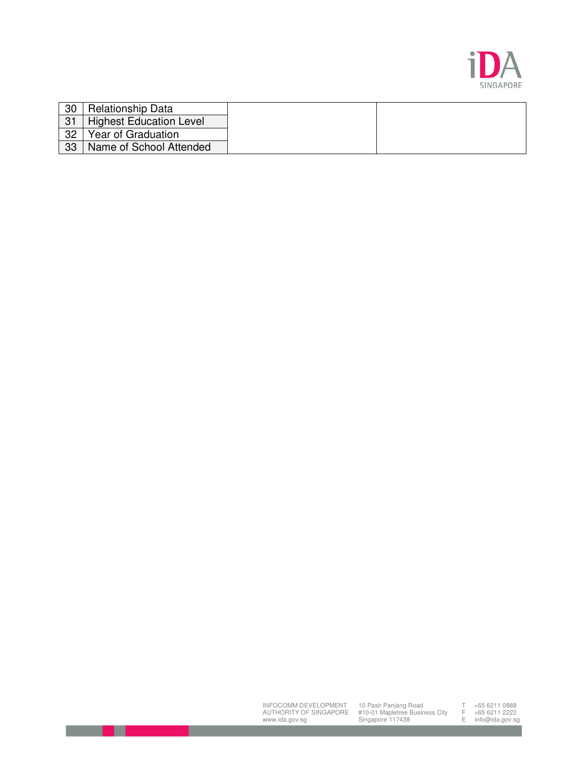

| 30 | <b>Relationship Data</b>       |  |
|----|--------------------------------|--|
| 31 | <b>Highest Education Level</b> |  |
| 32 | Year of Graduation             |  |
| 33 | Name of School Attended        |  |

INFOCOMM DEVELOPMENT AUTHORITY OF SINGAPORE www.ida.gov.sg

х

10 Pasir Panjang Road #10-01 Mapletree Business City Singapore 117438

T +65 6211 0888 F +65 6211 2222 E info@ida.gov.sg